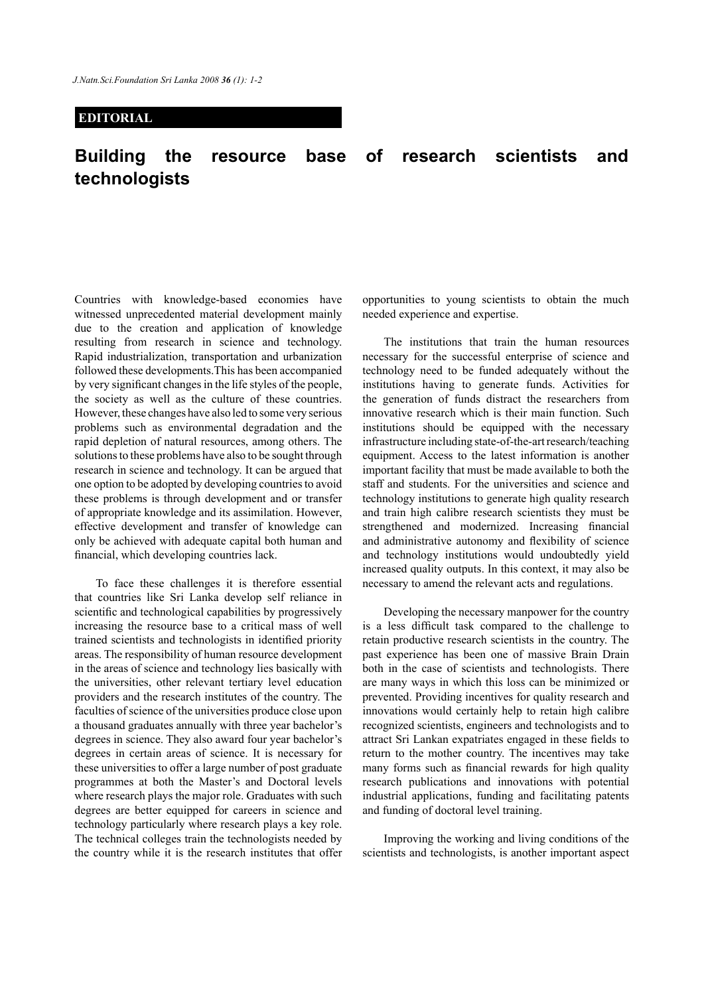## **EDITORIAL**

## **Building the resource base of research scientists and technologists**

Countries with knowledge-based economies have witnessed unprecedented material development mainly due to the creation and application of knowledge resulting from research in science and technology. Rapid industrialization, transportation and urbanization followed these developments.This has been accompanied by very significant changes in the life styles of the people, the society as well as the culture of these countries. However, these changes have also led to some very serious problems such as environmental degradation and the rapid depletion of natural resources, among others. The solutions to these problems have also to be sought through research in science and technology. It can be argued that one option to be adopted by developing countries to avoid these problems is through development and or transfer of appropriate knowledge and its assimilation. However, effective development and transfer of knowledge can only be achieved with adequate capital both human and financial, which developing countries lack.

To face these challenges it is therefore essential that countries like Sri Lanka develop self reliance in scientific and technological capabilities by progressively increasing the resource base to a critical mass of well trained scientists and technologists in identified priority areas. The responsibility of human resource development in the areas of science and technology lies basically with the universities, other relevant tertiary level education providers and the research institutes of the country. The faculties of science of the universities produce close upon a thousand graduates annually with three year bachelor's degrees in science. They also award four year bachelor's degrees in certain areas of science. It is necessary for these universities to offer a large number of post graduate programmes at both the Master's and Doctoral levels where research plays the major role. Graduates with such degrees are better equipped for careers in science and technology particularly where research plays a key role. The technical colleges train the technologists needed by the country while it is the research institutes that offer

opportunities to young scientists to obtain the much needed experience and expertise.

The institutions that train the human resources necessary for the successful enterprise of science and technology need to be funded adequately without the institutions having to generate funds. Activities for the generation of funds distract the researchers from innovative research which is their main function. Such institutions should be equipped with the necessary infrastructure including state-of-the-art research/teaching equipment. Access to the latest information is another important facility that must be made available to both the staff and students. For the universities and science and technology institutions to generate high quality research and train high calibre research scientists they must be strengthened and modernized. Increasing financial and administrative autonomy and flexibility of science and technology institutions would undoubtedly yield increased quality outputs. In this context, it may also be necessary to amend the relevant acts and regulations.

Developing the necessary manpower for the country is a less difficult task compared to the challenge to retain productive research scientists in the country. The past experience has been one of massive Brain Drain both in the case of scientists and technologists. There are many ways in which this loss can be minimized or prevented. Providing incentives for quality research and innovations would certainly help to retain high calibre recognized scientists, engineers and technologists and to attract Sri Lankan expatriates engaged in these fields to return to the mother country. The incentives may take many forms such as financial rewards for high quality research publications and innovations with potential industrial applications, funding and facilitating patents and funding of doctoral level training.

Improving the working and living conditions of the scientists and technologists, is another important aspect